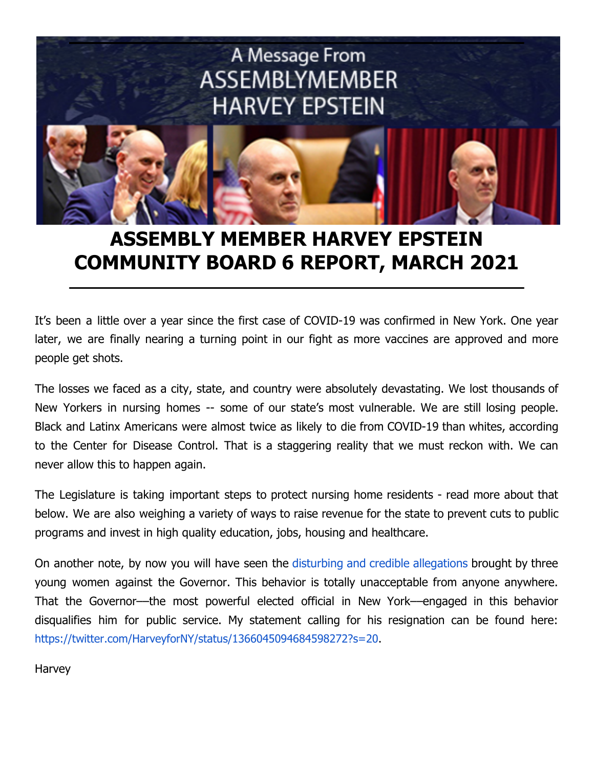

## **ASSEMBLY MEMBER HARVEY EPSTEIN COMMUNITY BOARD 6 REPORT, MARCH 2021**

It's been a little over a year since the first case of COVID-19 was confirmed in New York. One year later, we are finally nearing a turning point in our fight as more vaccines are approved and more people get shots.

The losses we faced as a city, state, and country were absolutely devastating. We lost thousands of New Yorkers in nursing homes -- some of our state's most vulnerable. We are still losing people. Black and Latinx Americans were almost twice as likely to die from COVID-19 than whites, according to the Center for Disease Control. That is a staggering reality that we must reckon with. We can never allow this to happen again.

The Legislature is taking important steps to protect nursing home residents - read more about that below. We are also weighing a variety of ways to raise revenue for the state to prevent cuts to public programs and invest in high quality education, jobs, housing and healthcare.

On another note, by now you will have seen the disturbing and credible [allegations](https://www.nytimes.com/article/cuomo-sexual-harassment-nursing-homes-covid-19.html) brought by three young women against the Governor. This behavior is totally unacceptable from anyone anywhere. That the Governor––the most powerful elected official in New York––engaged in this behavior disqualifies him for public service. My statement calling for his resignation can be found here[:](https://twitter.com/HarveyforNY/status/1366045094684598272?s=20) <https://twitter.com/HarveyforNY/status/1366045094684598272?s=20>.

Harvey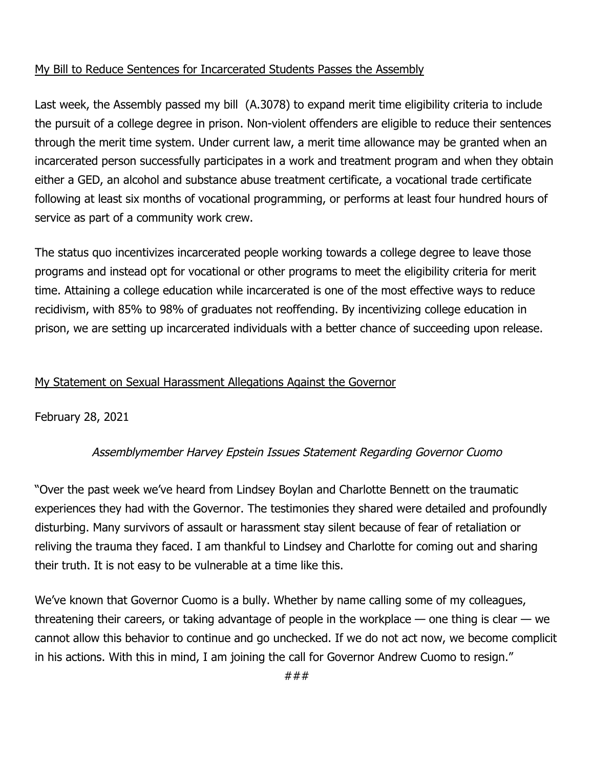## My Bill to Reduce Sentences for Incarcerated Students Passes the Assembly

Last week, the Assembly passed my bill (A.3078) to expand merit time eligibility criteria to include the pursuit of a college degree in prison. Non-violent offenders are eligible to reduce their sentences through the merit time system. Under current law, a merit time allowance may be granted when an incarcerated person successfully participates in a work and treatment program and when they obtain either a GED, an alcohol and substance abuse treatment certificate, a vocational trade certificate following at least six months of vocational programming, or performs at least four hundred hours of service as part of a community work crew.

The status quo incentivizes incarcerated people working towards a college degree to leave those programs and instead opt for vocational or other programs to meet the eligibility criteria for merit time. Attaining a college education while incarcerated is one of the most effective ways to reduce recidivism, with 85% to 98% of graduates not reoffending. By incentivizing college education in prison, we are setting up incarcerated individuals with a better chance of succeeding upon release.

## My Statement on Sexual Harassment Allegations Against the Governor

February 28, 2021

## Assemblymember Harvey Epstein Issues Statement Regarding Governor Cuomo

"Over the past week we've heard from Lindsey Boylan and Charlotte Bennett on the traumatic experiences they had with the Governor. The testimonies they shared were detailed and profoundly disturbing. Many survivors of assault or harassment stay silent because of fear of retaliation or reliving the trauma they faced. I am thankful to Lindsey and Charlotte for coming out and sharing their truth. It is not easy to be vulnerable at a time like this.

We've known that Governor Cuomo is a bully. Whether by name calling some of my colleagues, threatening their careers, or taking advantage of people in the workplace  $-$  one thing is clear  $-$  we cannot allow this behavior to continue and go unchecked. If we do not act now, we become complicit in his actions. With this in mind, I am joining the call for Governor Andrew Cuomo to resign."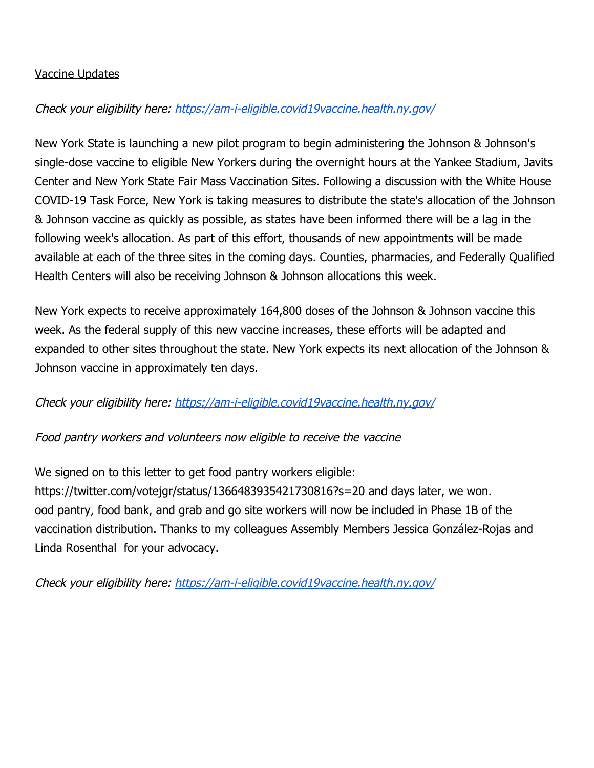## Vaccine Updates

## Check your eligibility here: <https://am-i-eligible.covid19vaccine.health.ny.gov/>

New York State is launching a new pilot program to begin administering the Johnson & Johnson's single-dose vaccine to eligible New Yorkers during the overnight hours at the Yankee Stadium, Javits Center and New York State Fair Mass Vaccination Sites. Following a discussion with the White House COVID-19 Task Force, New York is taking measures to distribute the state's allocation of the Johnson & Johnson vaccine as quickly as possible, as states have been informed there will be a lag in the following week's allocation. As part of this effort, thousands of new appointments will be made available at each of the three sites in the coming days. Counties, pharmacies, and Federally Qualified Health Centers will also be receiving Johnson & Johnson allocations this week.

New York expects to receive approximately 164,800 doses of the Johnson & Johnson vaccine this week. As the federal supply of this new vaccine increases, these efforts will be adapted and expanded to other sites throughout the state. New York expects its next allocation of the Johnson & Johnson vaccine in approximately ten days.

## Check your eligibility here: <https://am-i-eligible.covid19vaccine.health.ny.gov/>

## Food pantry workers and volunteers now eligible to receive the vaccine

We signed on to this letter to get food pantry workers eligible:

https://twitter.com/votejgr/status/1366483935421730816?s=20 and days later, we won. ood pantry, food bank, and grab and go site workers will now be included in Phase 1B of the vaccination distribution. Thanks to my colleagues Assembly Members Jessica González-Rojas and Linda Rosenthal for your advocacy.

Check your eligibility here: <https://am-i-eligible.covid19vaccine.health.ny.gov/>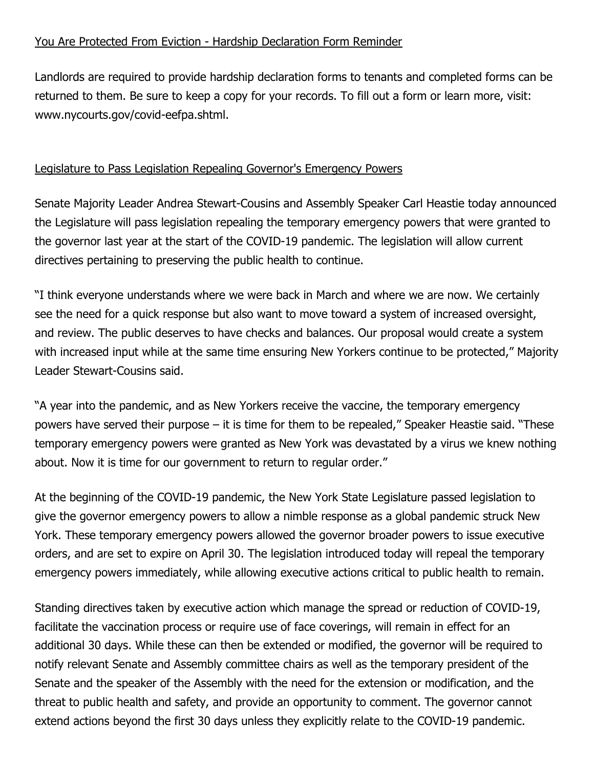## You Are Protected From Eviction - Hardship Declaration Form Reminder

Landlords are required to provide hardship declaration forms to tenants and completed forms can be returned to them. Be sure to keep a copy for your records. To fill out a form or learn more, visit: www.nycourts.gov/covid-eefpa.shtml.

## Legislature to Pass Legislation Repealing Governor's Emergency Powers

Senate Majority Leader Andrea Stewart-Cousins and Assembly Speaker Carl Heastie today announced the Legislature will pass legislation repealing the temporary emergency powers that were granted to the governor last year at the start of the COVID-19 pandemic. The legislation will allow current directives pertaining to preserving the public health to continue.

"I think everyone understands where we were back in March and where we are now. We certainly see the need for a quick response but also want to move toward a system of increased oversight, and review. The public deserves to have checks and balances. Our proposal would create a system with increased input while at the same time ensuring New Yorkers continue to be protected," Majority Leader Stewart-Cousins said.

"A year into the pandemic, and as New Yorkers receive the vaccine, the temporary emergency powers have served their purpose – it is time for them to be repealed," Speaker Heastie said. "These temporary emergency powers were granted as New York was devastated by a virus we knew nothing about. Now it is time for our government to return to regular order."

At the beginning of the COVID-19 pandemic, the New York State Legislature passed legislation to give the governor emergency powers to allow a nimble response as a global pandemic struck New York. These temporary emergency powers allowed the governor broader powers to issue executive orders, and are set to expire on April 30. The legislation introduced today will repeal the temporary emergency powers immediately, while allowing executive actions critical to public health to remain.

Standing directives taken by executive action which manage the spread or reduction of COVID-19, facilitate the vaccination process or require use of face coverings, will remain in effect for an additional 30 days. While these can then be extended or modified, the governor will be required to notify relevant Senate and Assembly committee chairs as well as the temporary president of the Senate and the speaker of the Assembly with the need for the extension or modification, and the threat to public health and safety, and provide an opportunity to comment. The governor cannot extend actions beyond the first 30 days unless they explicitly relate to the COVID-19 pandemic.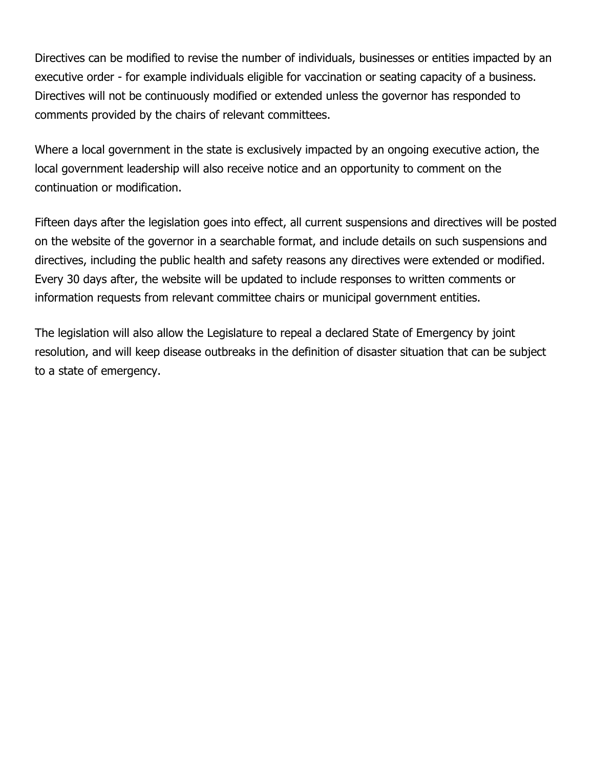Directives can be modified to revise the number of individuals, businesses or entities impacted by an executive order - for example individuals eligible for vaccination or seating capacity of a business. Directives will not be continuously modified or extended unless the governor has responded to comments provided by the chairs of relevant committees.

Where a local government in the state is exclusively impacted by an ongoing executive action, the local government leadership will also receive notice and an opportunity to comment on the continuation or modification.

Fifteen days after the legislation goes into effect, all current suspensions and directives will be posted on the website of the governor in a searchable format, and include details on such suspensions and directives, including the public health and safety reasons any directives were extended or modified. Every 30 days after, the website will be updated to include responses to written comments or information requests from relevant committee chairs or municipal government entities.

The legislation will also allow the Legislature to repeal a declared State of Emergency by joint resolution, and will keep disease outbreaks in the definition of disaster situation that can be subject to a state of emergency.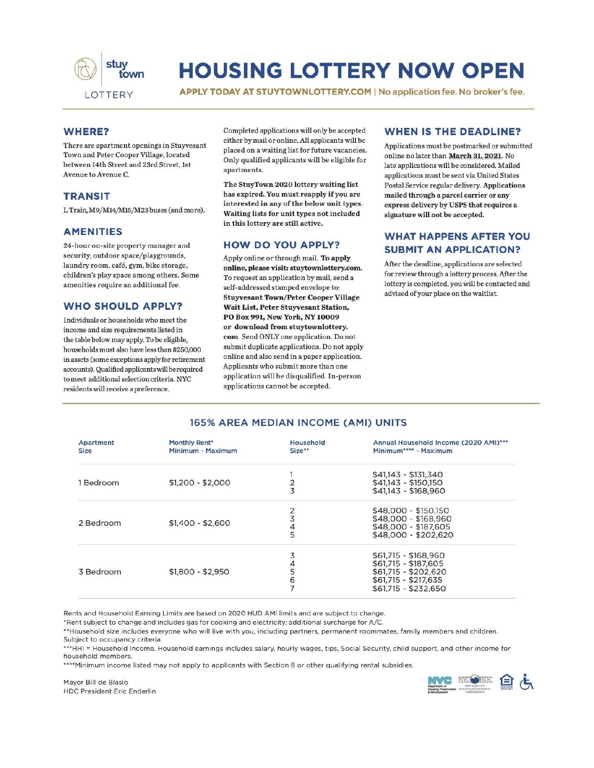

# **HOUSING LOTTERY NOW OPEN**

APPLY TODAY AT STUYTOWNLOTTERY.COM | No application fee. No broker's fee.

### **WHERE?**

There are apartment openings in Stuyvesant Town and Peter Cooper Village, located between 14th Street and 23rd Street, 1st Avenue to Avenue C.

### **TRANSIT**

L Train, M9/M14/M15/M23 buses (and more).

#### **AMENITIES**

24-hour on-site property manager and security, outdoor space/playgrounds, laundry room, café, gym, bike storage, children's play space among others. Some amenities require an additional fee.

### **WHO SHOULD APPLY?**

Individuals or households who meet the income and size requirements listed in the table below may apply. To be eligible, households must also have less than \$250,000 in assets (some exceptions apply for retirement accounts). Qualified applicants will be required to meet additional selection criteria. NYC residents will receive a preference.

Completed applications will only be accepted either by mail or online. All applicants will be placed on a waiting list for future vacancies. Only qualified applicants will be eligible for apartments.

The StuyTown 2020 lottery waiting list has expired. You must reapply if you are interested in any of the below unit types. Waiting lists for unit types not included in this lottery are still active.

### **HOW DO YOU APPLY?**

Apply online or through mail. To apply online, please visit: stuytownlottery.com. To request an application by mail, send a self-addressed stamped envelope to: **Stuyvesant Town/Peter Cooper Village** Wait List, Peter Stuyvesant Station, PO Box 991, New York, NY 10009 or download from stuytownlottery. com Send ONLY one application. Do not submit duplicate applications. Do not apply online and also send in a paper application. Applicants who submit more than one application will be disqualified. In-person applications cannot be accepted.

### **WHEN IS THE DEADLINE?**

Applications must be postmarked or submitted online no later than March 31, 2021. No late applications will be considered. Mailed applications must be sent via United States Postal Service regular delivery. Applications mailed through a parcel carrier or any express delivery by USPS that requires a signature will not be accepted.

### **WHAT HAPPENS AFTER YOU SUBMIT AN APPLICATION?**

After the deadline, applications are selected for review through a lottery process. After the lottery is completed, you will be contacted and advised of your place on the waitlist.

### 165% AREA MEDIAN INCOME (AMI) UNITS

| Apartment<br>Size | <b>Monthly Rent*</b><br>Minimum - Maximum | Household<br>Size** | Annual Household Income (2020 AMI)***<br>Minimum**** - Maximum |
|-------------------|-------------------------------------------|---------------------|----------------------------------------------------------------|
|                   |                                           |                     | $$41,143 - $131,340$                                           |
| 1 Bedroom         | $$1,200 - $2,000$                         | $\frac{2}{3}$       | $$41.143 - $150.150$                                           |
|                   |                                           |                     | $$41,143 - $168,960$                                           |
| 2 Bedroom         |                                           |                     | \$48,000 - \$150,150                                           |
|                   |                                           | $\frac{2}{3}$       | \$48,000 - \$168,960                                           |
|                   | $$1,400 - $2,600$                         |                     | \$48,000 - \$187,605                                           |
|                   |                                           | $\frac{4}{5}$       | \$48,000 - \$202,620                                           |
|                   |                                           | 3                   | \$61,715 - \$168,960                                           |
|                   |                                           |                     | \$61,715 - \$187,605                                           |
| 3 Bedroom         | $$1,800 - $2,950$                         | $rac{4}{5}$         | \$61,715 - \$202,620                                           |
|                   |                                           |                     | $$61,715 - $217,635$                                           |
|                   |                                           |                     | \$61,715 - \$232,650                                           |

Rents and Household Earning Limits are based on 2020 HUD AMI limits and are subject to change.

\*Rent subject to change and includes gas for cooking and electricity; additional surcharge for A/C.

\*\*Household size includes everyone who will live with you, including partners, permanent roommates, family members and children. Subject to occupancy criteria.

\*\*\*HHI = Household Income. Household earnings includes salary, hourly wages, tips, Social Security, child support, and other income for household members.

\*\*\*\* Minimum income listed may not apply to applicants with Section 8 or other qualifying rental subsidies.

Mayor Bill de Blasio **HDC President Eric Enderlin**